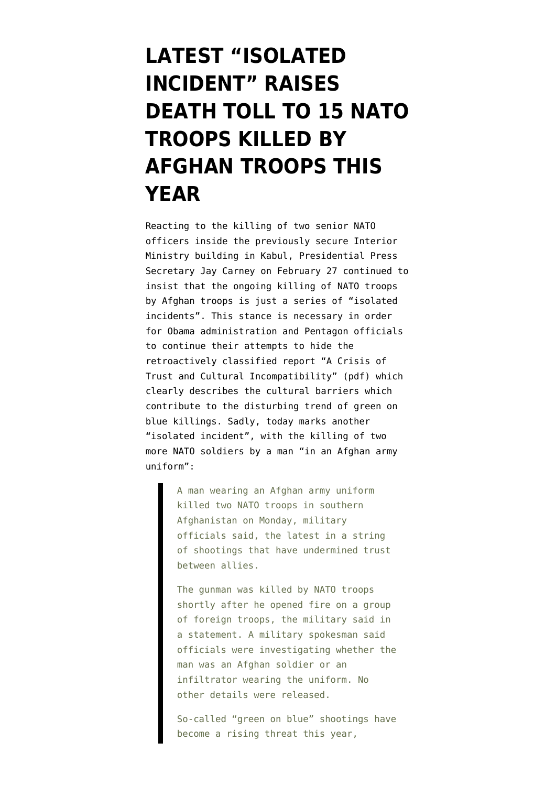## **[LATEST "ISOLATED](https://www.emptywheel.net/2012/03/26/latest-isolated-incident-raises-death-toll-to-15-nato-troops-killed-by-afghan-troops-this-year/) [INCIDENT" RAISES](https://www.emptywheel.net/2012/03/26/latest-isolated-incident-raises-death-toll-to-15-nato-troops-killed-by-afghan-troops-this-year/) [DEATH TOLL TO 15 NATO](https://www.emptywheel.net/2012/03/26/latest-isolated-incident-raises-death-toll-to-15-nato-troops-killed-by-afghan-troops-this-year/) [TROOPS KILLED BY](https://www.emptywheel.net/2012/03/26/latest-isolated-incident-raises-death-toll-to-15-nato-troops-killed-by-afghan-troops-this-year/) [AFGHAN TROOPS THIS](https://www.emptywheel.net/2012/03/26/latest-isolated-incident-raises-death-toll-to-15-nato-troops-killed-by-afghan-troops-this-year/) [YEAR](https://www.emptywheel.net/2012/03/26/latest-isolated-incident-raises-death-toll-to-15-nato-troops-killed-by-afghan-troops-this-year/)**

Reacting to the killing of two senior NATO officers inside the previously secure Interior Ministry building in Kabul, [Presidential Press](http://www.whitehouse.gov/the-press-office/2012/02/27/press-briefing-press-secretary-jay-carney-22712) [Secretary Jay Carney on February 27](http://www.whitehouse.gov/the-press-office/2012/02/27/press-briefing-press-secretary-jay-carney-22712) continued to insist that the ongoing killing of NATO troops by Afghan troops is just a series of "isolated incidents". This stance is necessary in order for Obama administration and Pentagon officials to [continue their attempts to hide](http://www.emptywheel.net/2012/02/27/hiding-report-on-fratricide-doesnt-make-it-go-away-in-afghanistan/) the retroactively classified report "[A Crisis of](http://www.michaelyon-online.com/images/pdf/trust-incompatibility.pdf) [Trust and Cultural Incompatibility](http://www.michaelyon-online.com/images/pdf/trust-incompatibility.pdf)" (pdf) which clearly describes the cultural barriers which contribute to the disturbing trend of green on blue killings. Sadly, today marks another "isolated incident", with the [killing of two](http://www.washingtonpost.com/world/man-in-afghan-army-uniform-shoots-2-nato-troops-in-afghanistan/2012/03/26/gIQAe8tUbS_story.html) [more NATO soldiers](http://www.washingtonpost.com/world/man-in-afghan-army-uniform-shoots-2-nato-troops-in-afghanistan/2012/03/26/gIQAe8tUbS_story.html) by a man "in an Afghan army uniform":

> A man wearing an Afghan army uniform killed two NATO troops in southern Afghanistan on Monday, military officials said, the latest in a string of shootings that have undermined trust between allies.

The gunman was killed by NATO troops shortly after he opened fire on a group of foreign troops, the military said in a statement. A military spokesman said officials were investigating whether the man was an Afghan soldier or an infiltrator wearing the uniform. No other details were released.

So-called "green on blue" shootings have become a rising threat this year,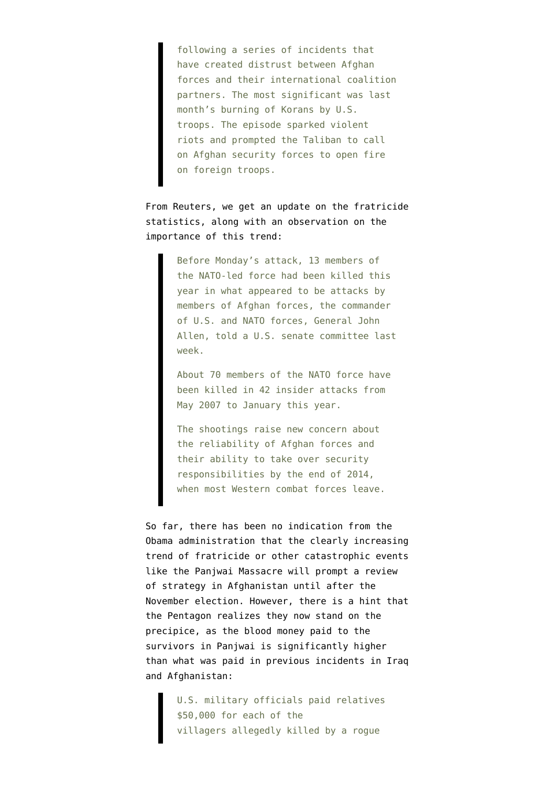following a series of incidents that have created distrust between Afghan forces and their international coalition partners. The most significant was last month's burning of Korans by U.S. troops. The episode sparked violent riots and prompted the Taliban to call on Afghan security forces to open fire on foreign troops.

From [Reuters](http://www.reuters.com/article/2012/03/26/us-afghanistan-attack-idUSBRE82P09520120326), we get an update on the fratricide statistics, along with an observation on the importance of this trend:

> Before Monday's attack, 13 members of the NATO-led force had been killed this year in what appeared to be attacks by members of Afghan forces, the commander of U.S. and NATO forces, General John Allen, told a U.S. senate committee last week.

About 70 members of the NATO force have been killed in 42 insider attacks from May 2007 to January this year.

The shootings raise new concern about the reliability of Afghan forces and their ability to take over security responsibilities by the end of 2014, when most Western combat forces leave.

So far, there has been no indication from the Obama administration that the clearly increasing trend of fratricide or other catastrophic events like the Panjwai Massacre will prompt a review of strategy in Afghanistan until [after the](http://www.emptywheel.net/2012/03/21/despite-afghanistan-spiraling-out-of-control-allen-wants-no-drawdown-acceleration-until-after-election/) [November election.](http://www.emptywheel.net/2012/03/21/despite-afghanistan-spiraling-out-of-control-allen-wants-no-drawdown-acceleration-until-after-election/) However, there is a hint that the Pentagon realizes they now stand on the precipice, as the [blood money paid to the](http://www.washingtonpost.com/world/us-pays-blood-money-to-victims-of-afghan-massacre/2012/03/25/gIQARfIaZS_story.html) [survivors](http://www.washingtonpost.com/world/us-pays-blood-money-to-victims-of-afghan-massacre/2012/03/25/gIQARfIaZS_story.html) in Panjwai is significantly higher than what was paid in previous incidents in Iraq and Afghanistan:

> U.S. military officials paid relatives \$50,000 for each of the villagers allegedly killed by a rogue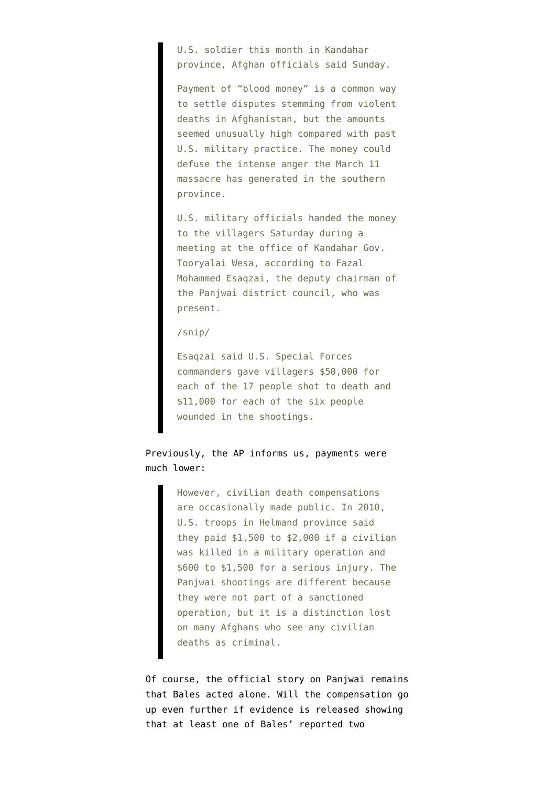U.S. soldier this month in Kandahar province, Afghan officials said Sunday.

Payment of "blood money" is a common way to settle disputes stemming from violent deaths in Afghanistan, but the amounts seemed unusually high compared with past U.S. military practice. The money could defuse the intense anger the March 11 massacre has generated in the southern province.

U.S. military officials handed the money to the villagers Saturday during a meeting at the office of Kandahar Gov. Tooryalai Wesa, according to Fazal Mohammed Esaqzai, the deputy chairman of the Panjwai district council, who was present.

## /snip/

Esaqzai said U.S. Special Forces commanders gave villagers \$50,000 for each of the 17 people shot to death and \$11,000 for each of the six people wounded in the shootings.

Previously, the [AP informs us](http://www.daytondailynews.com/news/nation-world-news/afghans-us-paid-50k-per-shooting-spree-death-1349542.html), payments were much lower:

> However, civilian death compensations are occasionally made public. In 2010, U.S. troops in Helmand province said they paid \$1,500 to \$2,000 if a civilian was killed in a military operation and \$600 to \$1,500 for a serious injury. The Panjwai shootings are different because they were not part of a sanctioned operation, but it is a distinction lost on many Afghans who see any civilian deaths as criminal.

Of course, the official story on Panjwai remains that Bales acted alone. Will the compensation go up even further if evidence is released showing that at least one of Bales' reported two